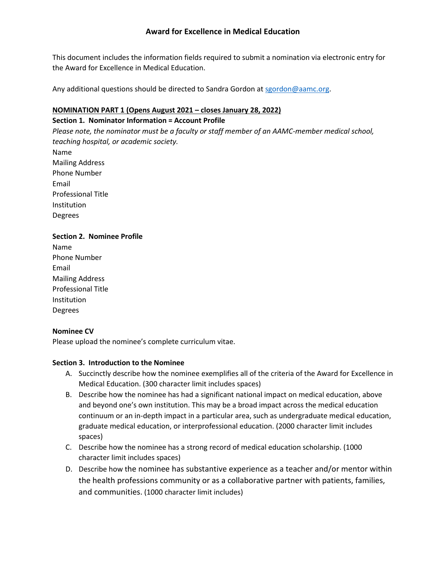# **Award for Excellence in Medical Education**

This document includes the information fields required to submit a nomination via electronic entry for the Award for Excellence in Medical Education.

Any additional questions should be directed to Sandra Gordon at [sgordon@aamc.org.](mailto:sgordon@aamc.org)

### **NOMINATION PART 1 (Opens August 2021 – closes January 28, 2022) Section 1. Nominator Information = Account Profile**

*Please note, the nominator must be a faculty or staff member of an AAMC-member medical school, teaching hospital, or academic society.* Name Mailing Address Phone Number Email Professional Title Institution Degrees

### **Section 2. Nominee Profile**

Name Phone Number Email Mailing Address Professional Title Institution Degrees

#### **Nominee CV**

Please upload the nominee's complete curriculum vitae.

#### **Section 3. Introduction to the Nominee**

- A. Succinctly describe how the nominee exemplifies all of the criteria of the Award for Excellence in Medical Education. (300 character limit includes spaces)
- B. Describe how the nominee has had a significant national impact on medical education, above and beyond one's own institution. This may be a broad impact across the medical education continuum or an in-depth impact in a particular area, such as undergraduate medical education, graduate medical education, or interprofessional education. (2000 character limit includes spaces)
- C. Describe how the nominee has a strong record of medical education scholarship. (1000 character limit includes spaces)
- D. Describe how the nominee has substantive experience as a teacher and/or mentor within the health professions community or as a collaborative partner with patients, families, and communities. (1000 character limit includes)